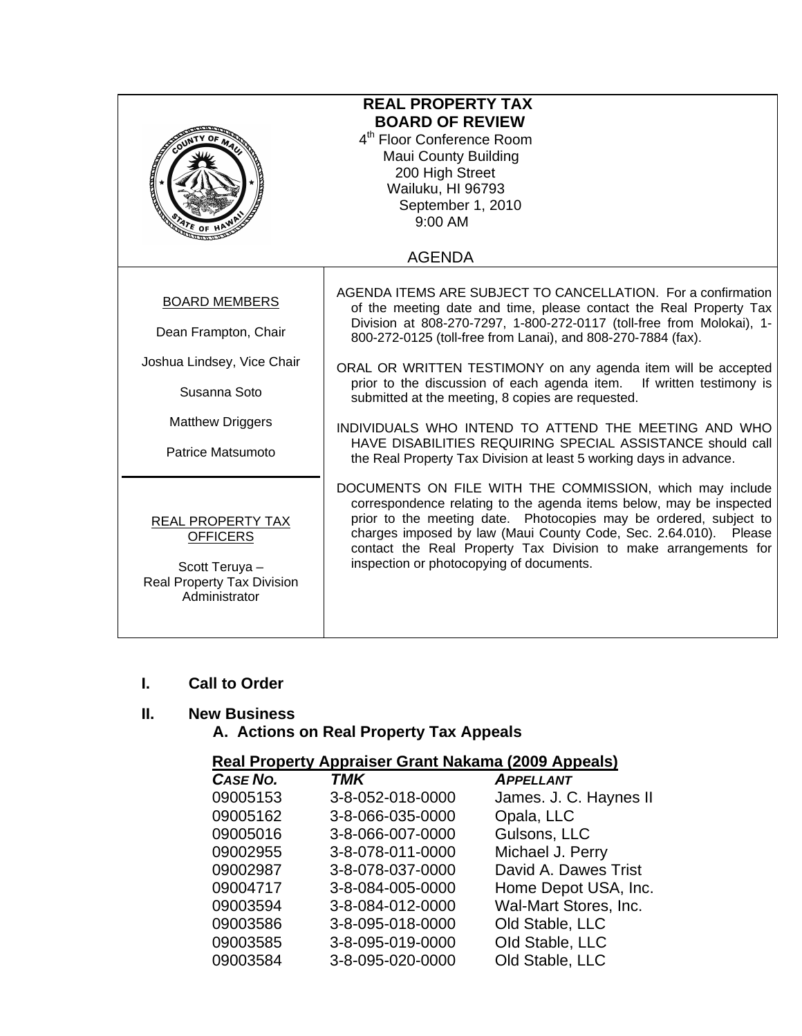| <b>REAL PROPERTY TAX</b><br><b>BOARD OF REVIEW</b><br>4 <sup>th</sup> Floor Conference Room<br><b>Maui County Building</b><br>200 High Street<br>Wailuku, HI 96793<br>September 1, 2010<br>$9:00$ AM |                                                                                                                                                                                                                                                                                                                                                                                                                                                                                                                                                                                                                                                                       |  |
|------------------------------------------------------------------------------------------------------------------------------------------------------------------------------------------------------|-----------------------------------------------------------------------------------------------------------------------------------------------------------------------------------------------------------------------------------------------------------------------------------------------------------------------------------------------------------------------------------------------------------------------------------------------------------------------------------------------------------------------------------------------------------------------------------------------------------------------------------------------------------------------|--|
|                                                                                                                                                                                                      | <b>AGENDA</b>                                                                                                                                                                                                                                                                                                                                                                                                                                                                                                                                                                                                                                                         |  |
| <b>BOARD MEMBERS</b><br>Dean Frampton, Chair<br>Joshua Lindsey, Vice Chair<br>Susanna Soto<br><b>Matthew Driggers</b><br>Patrice Matsumoto                                                           | AGENDA ITEMS ARE SUBJECT TO CANCELLATION. For a confirmation<br>of the meeting date and time, please contact the Real Property Tax<br>Division at 808-270-7297, 1-800-272-0117 (toll-free from Molokai), 1-<br>800-272-0125 (toll-free from Lanai), and 808-270-7884 (fax).<br>ORAL OR WRITTEN TESTIMONY on any agenda item will be accepted<br>prior to the discussion of each agenda item. If written testimony is<br>submitted at the meeting, 8 copies are requested.<br>INDIVIDUALS WHO INTEND TO ATTEND THE MEETING AND WHO<br>HAVE DISABILITIES REQUIRING SPECIAL ASSISTANCE should call<br>the Real Property Tax Division at least 5 working days in advance. |  |
| REAL PROPERTY TAX<br><b>OFFICERS</b><br>Scott Teruya -<br><b>Real Property Tax Division</b><br>Administrator                                                                                         | DOCUMENTS ON FILE WITH THE COMMISSION, which may include<br>correspondence relating to the agenda items below, may be inspected<br>prior to the meeting date. Photocopies may be ordered, subject to<br>charges imposed by law (Maui County Code, Sec. 2.64.010). Please<br>contact the Real Property Tax Division to make arrangements for<br>inspection or photocopying of documents.                                                                                                                                                                                                                                                                               |  |

## **I. Call to Order**

### **II. New Business**

 **A. Actions on Real Property Tax Appeals** 

# **Real Property Appraiser Grant Nakama (2009 Appeals)**

|          | $\frac{1}{2}$    |                        |
|----------|------------------|------------------------|
| CASE NO. | <b>TMK</b>       | <b>APPELLANT</b>       |
| 09005153 | 3-8-052-018-0000 | James. J. C. Haynes II |
| 09005162 | 3-8-066-035-0000 | Opala, LLC             |
| 09005016 | 3-8-066-007-0000 | Gulsons, LLC           |
| 09002955 | 3-8-078-011-0000 | Michael J. Perry       |
| 09002987 | 3-8-078-037-0000 | David A. Dawes Trist   |
| 09004717 | 3-8-084-005-0000 | Home Depot USA, Inc.   |
| 09003594 | 3-8-084-012-0000 | Wal-Mart Stores, Inc.  |
| 09003586 | 3-8-095-018-0000 | Old Stable, LLC        |
| 09003585 | 3-8-095-019-0000 | Old Stable, LLC        |
| 09003584 | 3-8-095-020-0000 | Old Stable, LLC        |
|          |                  |                        |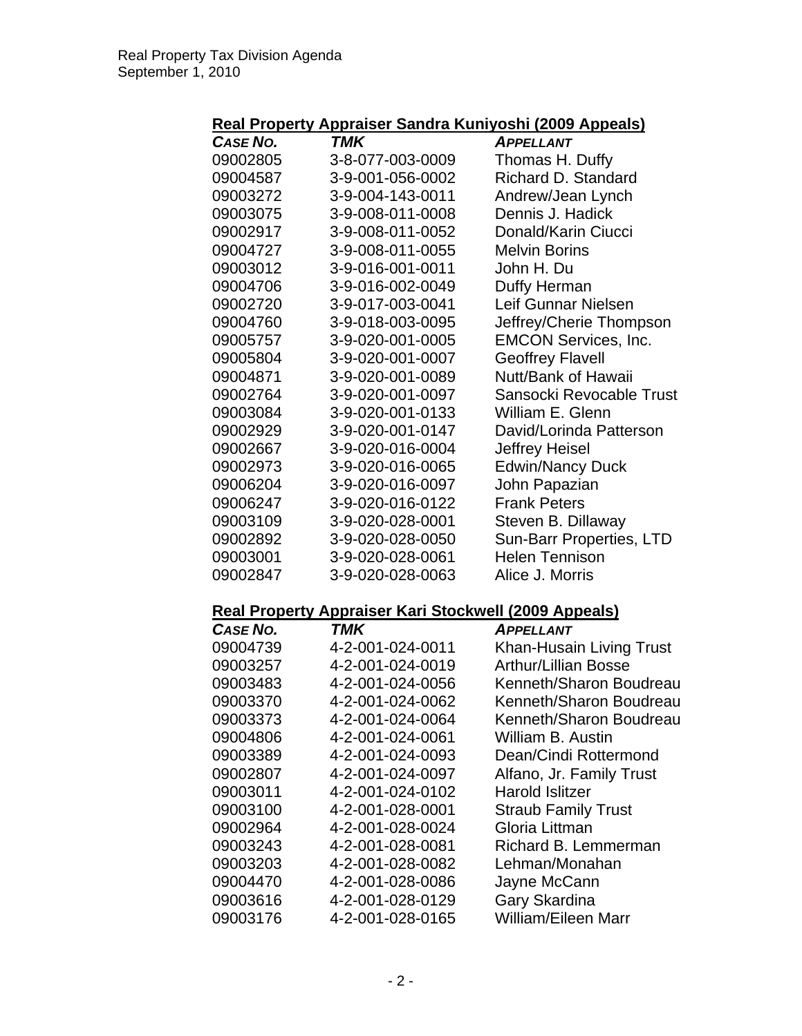#### **Real Property Appraiser Sandra Kuniyoshi (2009 Appeals)**

|                 |                                                              | <u>Tippeare</u>             |
|-----------------|--------------------------------------------------------------|-----------------------------|
| CASE NO.        | TMK                                                          | <b>APPELLANT</b>            |
| 09002805        | 3-8-077-003-0009                                             | Thomas H. Duffy             |
| 09004587        | 3-9-001-056-0002                                             | Richard D. Standard         |
| 09003272        | 3-9-004-143-0011                                             | Andrew/Jean Lynch           |
| 09003075        | 3-9-008-011-0008                                             | Dennis J. Hadick            |
| 09002917        | 3-9-008-011-0052                                             | Donald/Karin Ciucci         |
| 09004727        | 3-9-008-011-0055                                             | <b>Melvin Borins</b>        |
| 09003012        | 3-9-016-001-0011                                             | John H. Du                  |
| 09004706        | 3-9-016-002-0049                                             | Duffy Herman                |
| 09002720        | 3-9-017-003-0041                                             | Leif Gunnar Nielsen         |
| 09004760        | 3-9-018-003-0095                                             | Jeffrey/Cherie Thompson     |
| 09005757        | 3-9-020-001-0005                                             | <b>EMCON Services, Inc.</b> |
| 09005804        | 3-9-020-001-0007                                             | <b>Geoffrey Flavell</b>     |
| 09004871        | 3-9-020-001-0089                                             | Nutt/Bank of Hawaii         |
| 09002764        | 3-9-020-001-0097                                             | Sansocki Revocable Trust    |
| 09003084        | 3-9-020-001-0133                                             | William E. Glenn            |
| 09002929        | 3-9-020-001-0147                                             | David/Lorinda Patterson     |
| 09002667        | 3-9-020-016-0004                                             | <b>Jeffrey Heisel</b>       |
| 09002973        | 3-9-020-016-0065                                             | <b>Edwin/Nancy Duck</b>     |
| 09006204        | 3-9-020-016-0097                                             | John Papazian               |
| 09006247        | 3-9-020-016-0122                                             | <b>Frank Peters</b>         |
| 09003109        | 3-9-020-028-0001                                             | Steven B. Dillaway          |
| 09002892        | 3-9-020-028-0050                                             | Sun-Barr Properties, LTD    |
| 09003001        | 3-9-020-028-0061                                             | <b>Helen Tennison</b>       |
| 09002847        | 3-9-020-028-0063                                             | Alice J. Morris             |
|                 | <b>Real Property Appraiser Kari Stockwell (2009 Appeals)</b> |                             |
| <b>CASE NO.</b> | TMK                                                          | <b>APPELLANT</b>            |
| 09004739        | 4-2-001-024-0011                                             | Khan-Husain Living Trust    |
| 09003257        | 4-2-001-024-0019                                             | <b>Arthur/Lillian Bosse</b> |
| 09003483        | 4-2-001-024-0056                                             | Kenneth/Sharon Boudreau     |
| 09003370        | 4-2-001-024-0062                                             | Kenneth/Sharon Boudreau     |
| 09003373        | 4-2-001-024-0064                                             | Kenneth/Sharon Boudreau     |
| 09004806        | 4-2-001-024-0061                                             | William B. Austin           |
| 09003389        | 4-2-001-024-0093                                             | Dean/Cindi Rottermond       |
| 09002807        | 4-2-001-024-0097                                             | Alfano, Jr. Family Trust    |
| 09003011        | 4-2-001-024-0102                                             | Harold Islitzer             |
| 09003100        | 4-2-001-028-0001                                             | <b>Straub Family Trust</b>  |
| 09002964        | 4-2-001-028-0024                                             | Gloria Littman              |
| 09003243        | 4-2-001-028-0081                                             | Richard B. Lemmerman        |
| 09003203        | 4-2-001-028-0082                                             | Lehman/Monahan              |
| 09004470        | 4-2-001-028-0086                                             | Jayne McCann                |
| 09003616        | 4-2-001-028-0129                                             | Gary Skardina               |
| 09003176        | 4-2-001-028-0165                                             | William/Eileen Marr         |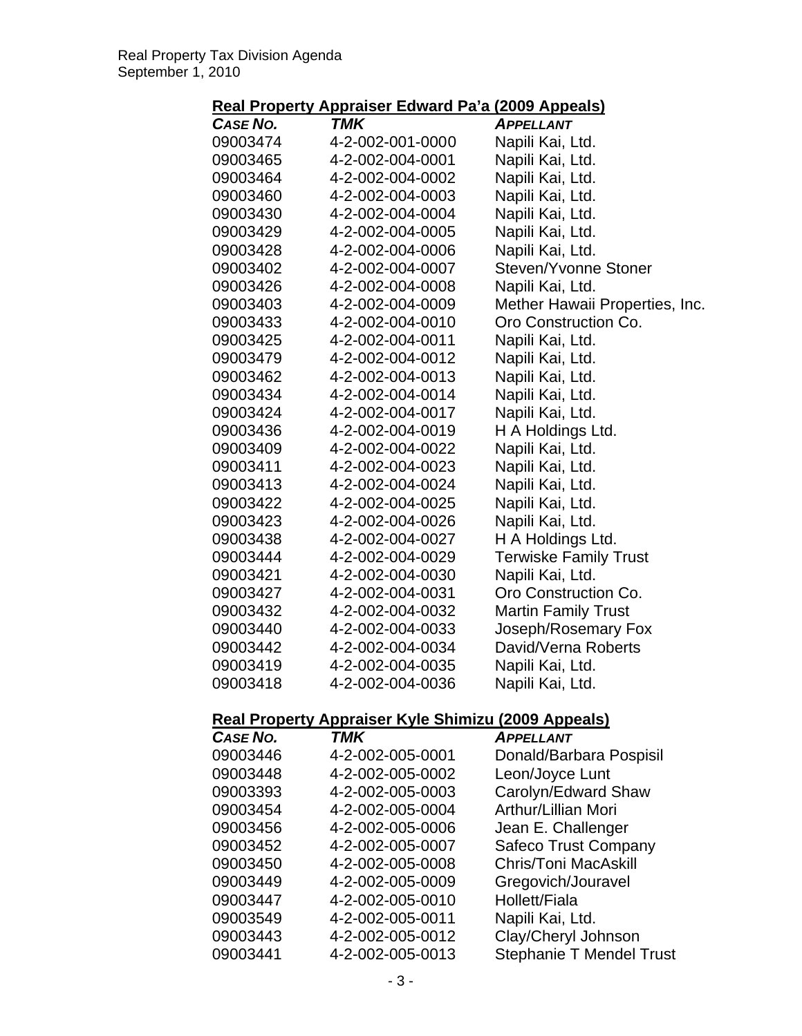# **Real Property Appraiser Edward Pa'a (2009 Appeals)**

| .                |                                                    | .<br>$\sim$ $\sim$ $\sim$ $\sim$ $\sim$ |
|------------------|----------------------------------------------------|-----------------------------------------|
| <b>CASE NO.</b>  | <b>TMK</b>                                         | <b>APPELLANT</b>                        |
| 09003474         | 4-2-002-001-0000                                   | Napili Kai, Ltd.                        |
| 09003465         | 4-2-002-004-0001                                   | Napili Kai, Ltd.                        |
| 09003464         | 4-2-002-004-0002                                   | Napili Kai, Ltd.                        |
| 09003460         | 4-2-002-004-0003                                   | Napili Kai, Ltd.                        |
| 09003430         | 4-2-002-004-0004                                   | Napili Kai, Ltd.                        |
| 09003429         | 4-2-002-004-0005                                   | Napili Kai, Ltd.                        |
| 09003428         | 4-2-002-004-0006                                   | Napili Kai, Ltd.                        |
| 09003402         | 4-2-002-004-0007                                   | Steven/Yvonne Stoner                    |
| 09003426         | 4-2-002-004-0008                                   | Napili Kai, Ltd.                        |
| 09003403         | 4-2-002-004-0009                                   | Mether Hawaii Properties, Inc.          |
| 09003433         | 4-2-002-004-0010                                   | Oro Construction Co.                    |
| 09003425         | 4-2-002-004-0011                                   | Napili Kai, Ltd.                        |
| 09003479         | 4-2-002-004-0012                                   | Napili Kai, Ltd.                        |
| 09003462         | 4-2-002-004-0013                                   | Napili Kai, Ltd.                        |
| 09003434         | 4-2-002-004-0014                                   | Napili Kai, Ltd.                        |
| 09003424         | 4-2-002-004-0017                                   | Napili Kai, Ltd.                        |
| 09003436         | 4-2-002-004-0019                                   | H A Holdings Ltd.                       |
| 09003409         | 4-2-002-004-0022                                   | Napili Kai, Ltd.                        |
| 09003411         | 4-2-002-004-0023                                   | Napili Kai, Ltd.                        |
| 09003413         | 4-2-002-004-0024                                   | Napili Kai, Ltd.                        |
| 09003422         | 4-2-002-004-0025                                   | Napili Kai, Ltd.                        |
| 09003423         | 4-2-002-004-0026                                   | Napili Kai, Ltd.                        |
| 09003438         | 4-2-002-004-0027                                   | H A Holdings Ltd.                       |
| 09003444         | 4-2-002-004-0029                                   | <b>Terwiske Family Trust</b>            |
| 09003421         | 4-2-002-004-0030                                   | Napili Kai, Ltd.                        |
| 09003427         | 4-2-002-004-0031                                   | Oro Construction Co.                    |
| 09003432         | 4-2-002-004-0032                                   | <b>Martin Family Trust</b>              |
| 09003440         | 4-2-002-004-0033                                   | Joseph/Rosemary Fox                     |
| 09003442         | 4-2-002-004-0034                                   | David/Verna Roberts                     |
| 09003419         | 4-2-002-004-0035                                   | Napili Kai, Ltd.                        |
| 09003418         | 4-2-002-004-0036                                   | Napili Kai, Ltd.                        |
|                  |                                                    |                                         |
| <b>Deal Deal</b> | $\mathbf{A}$ Annessaar Kula Chimisu (9000 Annessa) |                                         |

#### **Real Property Appraiser Kyle Shimizu (2009 Appeals)**

| <b>CASE NO.</b> | TMK              | <b>APPELLANT</b>            |
|-----------------|------------------|-----------------------------|
| 09003446        | 4-2-002-005-0001 | Donald/Barbara Pospisil     |
| 09003448        | 4-2-002-005-0002 | Leon/Joyce Lunt             |
| 09003393        | 4-2-002-005-0003 | Carolyn/Edward Shaw         |
| 09003454        | 4-2-002-005-0004 | Arthur/Lillian Mori         |
| 09003456        | 4-2-002-005-0006 | Jean E. Challenger          |
| 09003452        | 4-2-002-005-0007 | <b>Safeco Trust Company</b> |
| 09003450        | 4-2-002-005-0008 | <b>Chris/Toni MacAskill</b> |
| 09003449        | 4-2-002-005-0009 | Gregovich/Jouravel          |
| 09003447        | 4-2-002-005-0010 | Hollett/Fiala               |
| 09003549        | 4-2-002-005-0011 | Napili Kai, Ltd.            |
| 09003443        | 4-2-002-005-0012 | Clay/Cheryl Johnson         |
| 09003441        | 4-2-002-005-0013 | Stephanie T Mendel Trust    |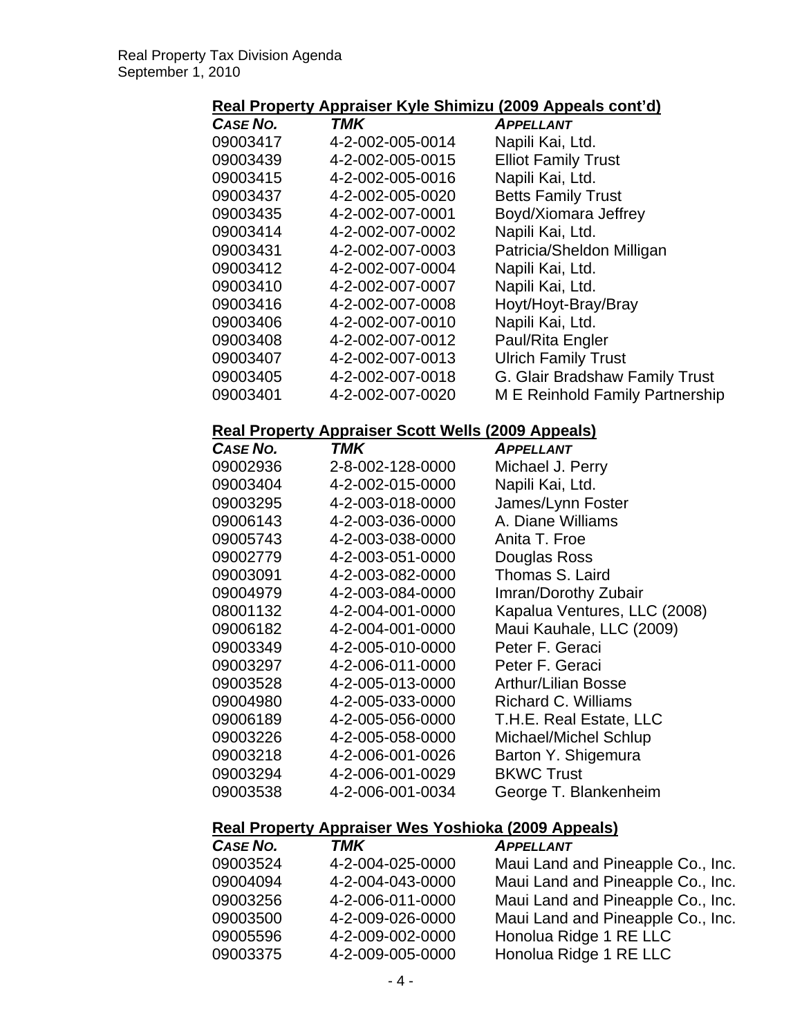# **Real Property Appraiser Kyle Shimizu (2009 Appeals cont'd)**

| CASE NO. | TMK              | <b>APPELLANT</b>                |
|----------|------------------|---------------------------------|
| 09003417 | 4-2-002-005-0014 | Napili Kai, Ltd.                |
| 09003439 | 4-2-002-005-0015 | <b>Elliot Family Trust</b>      |
| 09003415 | 4-2-002-005-0016 | Napili Kai, Ltd.                |
| 09003437 | 4-2-002-005-0020 | <b>Betts Family Trust</b>       |
| 09003435 | 4-2-002-007-0001 | Boyd/Xiomara Jeffrey            |
| 09003414 | 4-2-002-007-0002 | Napili Kai, Ltd.                |
| 09003431 | 4-2-002-007-0003 | Patricia/Sheldon Milligan       |
| 09003412 | 4-2-002-007-0004 | Napili Kai, Ltd.                |
| 09003410 | 4-2-002-007-0007 | Napili Kai, Ltd.                |
| 09003416 | 4-2-002-007-0008 | Hoyt/Hoyt-Bray/Bray             |
| 09003406 | 4-2-002-007-0010 | Napili Kai, Ltd.                |
| 09003408 | 4-2-002-007-0012 | Paul/Rita Engler                |
| 09003407 | 4-2-002-007-0013 | <b>Ulrich Family Trust</b>      |
| 09003405 | 4-2-002-007-0018 | G. Glair Bradshaw Family Trust  |
| 09003401 | 4-2-002-007-0020 | M E Reinhold Family Partnership |

#### **Real Property Appraiser Scott Wells (2009 Appeals)**

| CASE NO. | TMK              | <b>APPELLANT</b>             |
|----------|------------------|------------------------------|
| 09002936 | 2-8-002-128-0000 | Michael J. Perry             |
| 09003404 | 4-2-002-015-0000 | Napili Kai, Ltd.             |
| 09003295 | 4-2-003-018-0000 | James/Lynn Foster            |
| 09006143 | 4-2-003-036-0000 | A. Diane Williams            |
| 09005743 | 4-2-003-038-0000 | Anita T. Froe                |
| 09002779 | 4-2-003-051-0000 | Douglas Ross                 |
| 09003091 | 4-2-003-082-0000 | Thomas S. Laird              |
| 09004979 | 4-2-003-084-0000 | Imran/Dorothy Zubair         |
| 08001132 | 4-2-004-001-0000 | Kapalua Ventures, LLC (2008) |
| 09006182 | 4-2-004-001-0000 | Maui Kauhale, LLC (2009)     |
| 09003349 | 4-2-005-010-0000 | Peter F. Geraci              |
| 09003297 | 4-2-006-011-0000 | Peter F. Geraci              |
| 09003528 | 4-2-005-013-0000 | <b>Arthur/Lilian Bosse</b>   |
| 09004980 | 4-2-005-033-0000 | Richard C. Williams          |
| 09006189 | 4-2-005-056-0000 | T.H.E. Real Estate, LLC      |
| 09003226 | 4-2-005-058-0000 | Michael/Michel Schlup        |
| 09003218 | 4-2-006-001-0026 | Barton Y. Shigemura          |
| 09003294 | 4-2-006-001-0029 | <b>BKWC Trust</b>            |
| 09003538 | 4-2-006-001-0034 | George T. Blankenheim        |

#### **Real Property Appraiser Wes Yoshioka (2009 Appeals)**

| CASE NO. | <b>TMK</b>       | <b>APPELLANT</b>                  |
|----------|------------------|-----------------------------------|
| 09003524 | 4-2-004-025-0000 | Maui Land and Pineapple Co., Inc. |
| 09004094 | 4-2-004-043-0000 | Maui Land and Pineapple Co., Inc. |
| 09003256 | 4-2-006-011-0000 | Maui Land and Pineapple Co., Inc. |
| 09003500 | 4-2-009-026-0000 | Maui Land and Pineapple Co., Inc. |
| 09005596 | 4-2-009-002-0000 | Honolua Ridge 1 RE LLC            |
| 09003375 | 4-2-009-005-0000 | Honolua Ridge 1 RE LLC            |